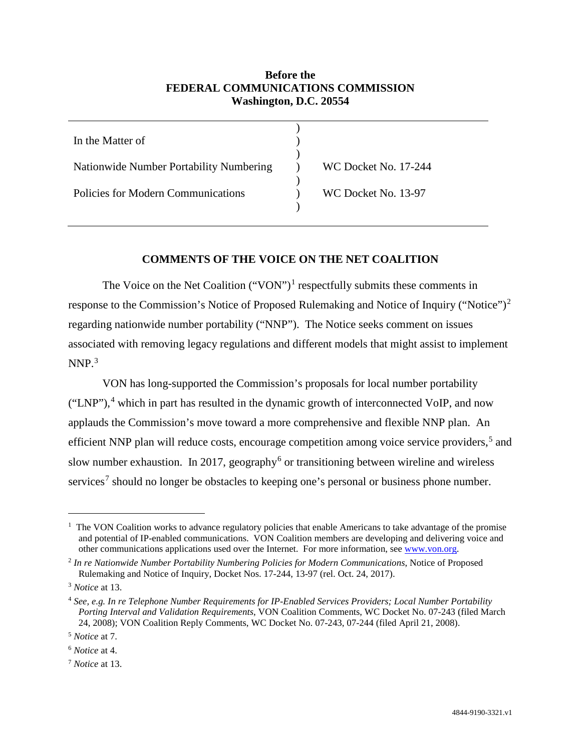# **Before the FEDERAL COMMUNICATIONS COMMISSION Washington, D.C. 20554**

| In the Matter of                        |                      |
|-----------------------------------------|----------------------|
| Nationwide Number Portability Numbering | WC Docket No. 17-244 |
| Policies for Modern Communications      | WC Docket No. 13-97  |

## **COMMENTS OF THE VOICE ON THE NET COALITION**

The Voice on the Net Coalition ("VON")<sup>[1](#page-0-0)</sup> respectfully submits these comments in response to the Commission's Notice of Proposed Rulemaking and Notice of Inquiry ("Notice")<sup>[2](#page-0-1)</sup> regarding nationwide number portability ("NNP"). The Notice seeks comment on issues associated with removing legacy regulations and different models that might assist to implement  $NNP.<sup>3</sup>$  $NNP.<sup>3</sup>$  $NNP.<sup>3</sup>$ 

VON has long-supported the Commission's proposals for local number portability ("LNP"),[4](#page-0-3) which in part has resulted in the dynamic growth of interconnected VoIP, and now applauds the Commission's move toward a more comprehensive and flexible NNP plan. An efficient NNP plan will reduce costs, encourage competition among voice service providers,<sup>[5](#page-0-4)</sup> and slow number exhaustion. In 2017, geography<sup>[6](#page-0-5)</sup> or transitioning between wireline and wireless services<sup>[7](#page-0-6)</sup> should no longer be obstacles to keeping one's personal or business phone number.

<span id="page-0-0"></span> $\overline{1}$ <sup>1</sup> The VON Coalition works to advance regulatory policies that enable Americans to take advantage of the promise and potential of IP-enabled communications. VON Coalition members are developing and delivering voice and other communications applications used over the Internet. For more information, see [www.von.org.](http://www.von.org/)

<span id="page-0-1"></span><sup>2</sup> *In re Nationwide Number Portability Numbering Policies for Modern Communications*, Notice of Proposed Rulemaking and Notice of Inquiry, Docket Nos. 17-244, 13-97 (rel. Oct. 24, 2017).

<span id="page-0-2"></span><sup>3</sup> *Notice* at 13.

<span id="page-0-3"></span><sup>4</sup> *See, e.g. In re Telephone Number Requirements for IP-Enabled Services Providers; Local Number Portability Porting Interval and Validation Requirements*, VON Coalition Comments, WC Docket No. 07-243 (filed March 24, 2008); VON Coalition Reply Comments, WC Docket No. 07-243, 07-244 (filed April 21, 2008).

<span id="page-0-4"></span><sup>5</sup> *Notice* at 7.

<span id="page-0-5"></span><sup>6</sup> *Notice* at 4.

<span id="page-0-6"></span><sup>7</sup> *Notice* at 13.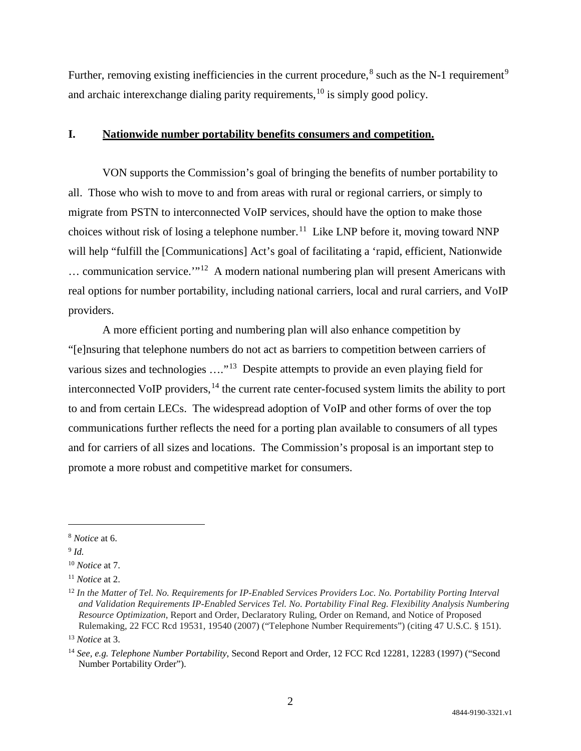Further, removing existing inefficiencies in the current procedure,  $8$  such as the N-1 requirement  $9$ and archaic interexchange dialing parity requirements, <sup>[10](#page-1-2)</sup> is simply good policy.

#### **I. Nationwide number portability benefits consumers and competition.**

VON supports the Commission's goal of bringing the benefits of number portability to all. Those who wish to move to and from areas with rural or regional carriers, or simply to migrate from PSTN to interconnected VoIP services, should have the option to make those choices without risk of losing a telephone number.<sup>[11](#page-1-3)</sup> Like LNP before it, moving toward NNP will help "fulfill the [Communications] Act's goal of facilitating a 'rapid, efficient, Nationwide … communication service.'"[12](#page-1-4) A modern national numbering plan will present Americans with real options for number portability, including national carriers, local and rural carriers, and VoIP providers.

A more efficient porting and numbering plan will also enhance competition by "[e]nsuring that telephone numbers do not act as barriers to competition between carriers of various sizes and technologies ...."<sup>[13](#page-1-5)</sup> Despite attempts to provide an even playing field for interconnected VoIP providers,<sup>[14](#page-1-6)</sup> the current rate center-focused system limits the ability to port to and from certain LECs. The widespread adoption of VoIP and other forms of over the top communications further reflects the need for a porting plan available to consumers of all types and for carriers of all sizes and locations. The Commission's proposal is an important step to promote a more robust and competitive market for consumers.

<span id="page-1-0"></span> <sup>8</sup> *Notice* at 6.

<span id="page-1-1"></span><sup>9</sup> *Id.*

<span id="page-1-2"></span><sup>10</sup> *Notice* at 7.

<span id="page-1-3"></span><sup>11</sup> *Notice* at 2.

<span id="page-1-4"></span><sup>&</sup>lt;sup>12</sup> In the Matter of Tel. No. Requirements for IP-Enabled Services Providers Loc. No. Portability Porting Interval *and Validation Requirements IP-Enabled Services Tel. No. Portability Final Reg. Flexibility Analysis Numbering Resource Optimization*, Report and Order, Declaratory Ruling, Order on Remand, and Notice of Proposed Rulemaking, 22 FCC Rcd 19531, 19540 (2007) ("Telephone Number Requirements") (citing 47 U.S.C. § 151).

<span id="page-1-5"></span><sup>13</sup> *Notice* at 3.

<span id="page-1-6"></span><sup>14</sup> *See, e.g. Telephone Number Portability*, Second Report and Order, 12 FCC Rcd 12281, 12283 (1997) ("Second Number Portability Order").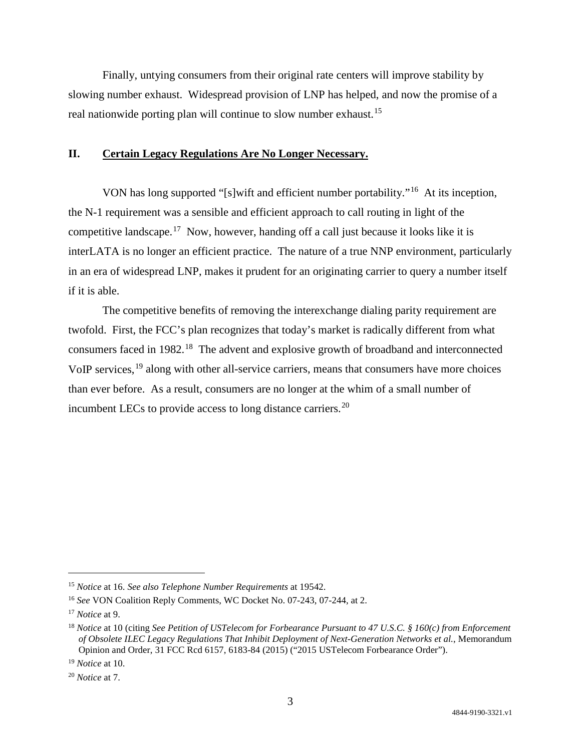Finally, untying consumers from their original rate centers will improve stability by slowing number exhaust. Widespread provision of LNP has helped, and now the promise of a real nationwide porting plan will continue to slow number exhaust.<sup>[15](#page-2-0)</sup>

## **II. Certain Legacy Regulations Are No Longer Necessary.**

VON has long supported "[s]wift and efficient number portability."[16](#page-2-1) At its inception, the N-1 requirement was a sensible and efficient approach to call routing in light of the competitive landscape.<sup>17</sup> Now, however, handing off a call just because it looks like it is interLATA is no longer an efficient practice. The nature of a true NNP environment, particularly in an era of widespread LNP, makes it prudent for an originating carrier to query a number itself if it is able.

The competitive benefits of removing the interexchange dialing parity requirement are twofold. First, the FCC's plan recognizes that today's market is radically different from what consumers faced in 1982.[18](#page-2-3) The advent and explosive growth of broadband and interconnected VoIP services,<sup>[19](#page-2-4)</sup> along with other all-service carriers, means that consumers have more choices than ever before. As a result, consumers are no longer at the whim of a small number of incumbent LECs to provide access to long distance carriers.<sup>[20](#page-2-5)</sup>

<span id="page-2-0"></span> <sup>15</sup> *Notice* at 16. *See also Telephone Number Requirements* at 19542.

<span id="page-2-1"></span><sup>16</sup> *See* VON Coalition Reply Comments, WC Docket No. 07-243, 07-244, at 2.

<span id="page-2-2"></span><sup>17</sup> *Notice* at 9.

<span id="page-2-3"></span><sup>18</sup> *Notice* at 10 (citing *See Petition of USTelecom for Forbearance Pursuant to 47 U.S.C. § 160(c) from Enforcement of Obsolete ILEC Legacy Regulations That Inhibit Deployment of Next-Generation Networks et al.*, Memorandum Opinion and Order, 31 FCC Rcd 6157, 6183-84 (2015) ("2015 USTelecom Forbearance Order").

<span id="page-2-4"></span><sup>19</sup> *Notice* at 10.

<span id="page-2-5"></span><sup>20</sup> *Notice* at 7.